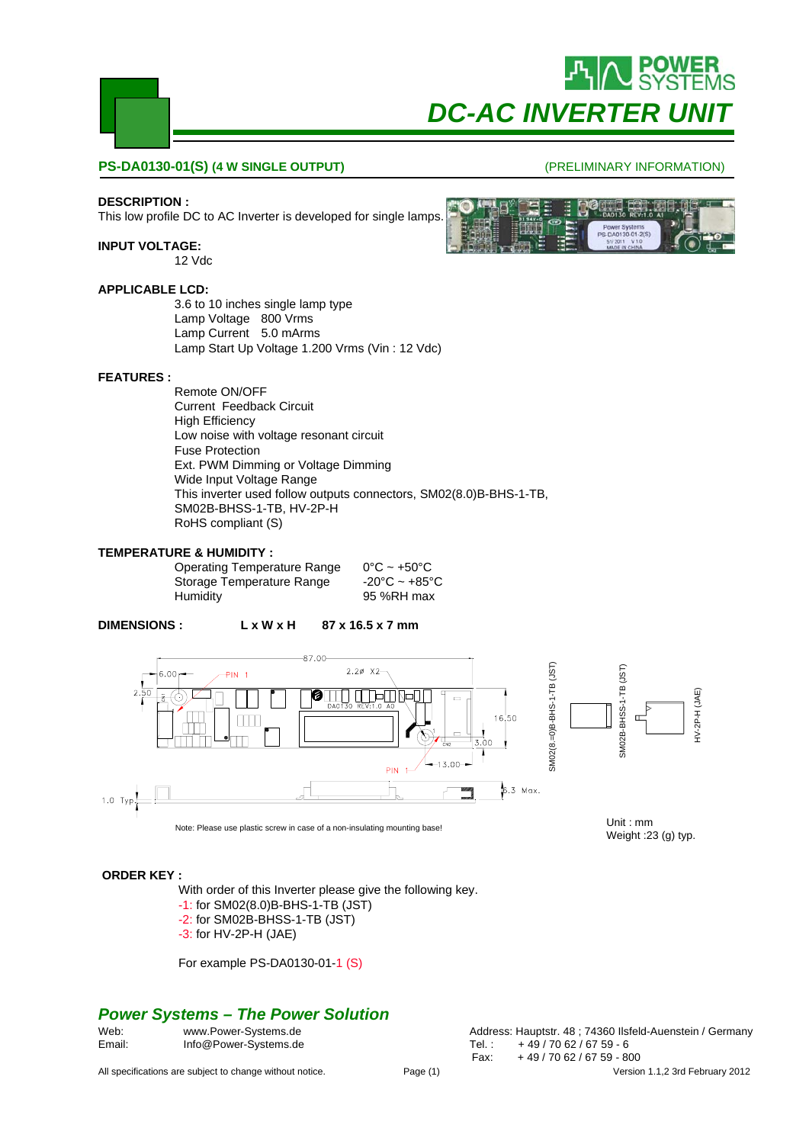

#### **PS-DA0130-01(S) (4 W SINGLE OUTPUT)**

#### **DESCRIPTION :**

This low profile DC to AC Inverter is developed for single lamps.

#### **INPUT VOLTAGE:**

12 Vdc

#### **APPLICABLE LCD:**

3.6 to 10 inches single lamp type Lamp Voltage 800 Vrms Lamp Current 5.0 mArms Lamp Start Up Voltage 1.200 Vrms (Vin : 12 Vdc)

#### **FEATURES :**

Remote ON/OFF Current Feedback Circuit High Efficiency Low noise with voltage resonant circuit Fuse Protection Ext. PWM Dimming or Voltage Dimming Wide Input Voltage Range This inverter used follow outputs connectors, SM02(8.0)B-BHS-1-TB, SM02B-BHSS-1-TB, HV-2P-H RoHS compliant (S)

#### **TEMPERATURE & HUMIDITY :**

Operating Temperature Range  $0^{\circ}C \sim +50^{\circ}C$ <br>Storage Temperature Range  $-20^{\circ}C \sim +85^{\circ}C$ Storage Temperature Range Humidity 95 %RH max

**DIMENSIONS : L x W x H 87 x 16.5 x 7 mm**



#### **ORDER KEY :**

With order of this Inverter please give the following key.

- -1: for SM02(8.0)B-BHS-1-TB (JST)
- -2: for SM02B-BHSS-1-TB (JST)
- -3: for HV-2P-H (JAE)

For example PS-DA0130-01-1 (S)

## *Power Systems – The Power Solution*

| Web:   | www.Power-Systems.de  | Address: Hauptstr. 48; 74360 Ilsfeld-Auenstein / Germany |
|--------|-----------------------|----------------------------------------------------------|
| Email: | Info@Power-Systems.de | +49/7062/6759-6<br>Tel. :                                |

All specifications are subject to change without notice. Page (1) Page (1) Version 1.1,2 3rd February 2012

Fax: + 49 / 70 62 / 67 59 - 800

#### (PRELIMINARY INFORMATION)

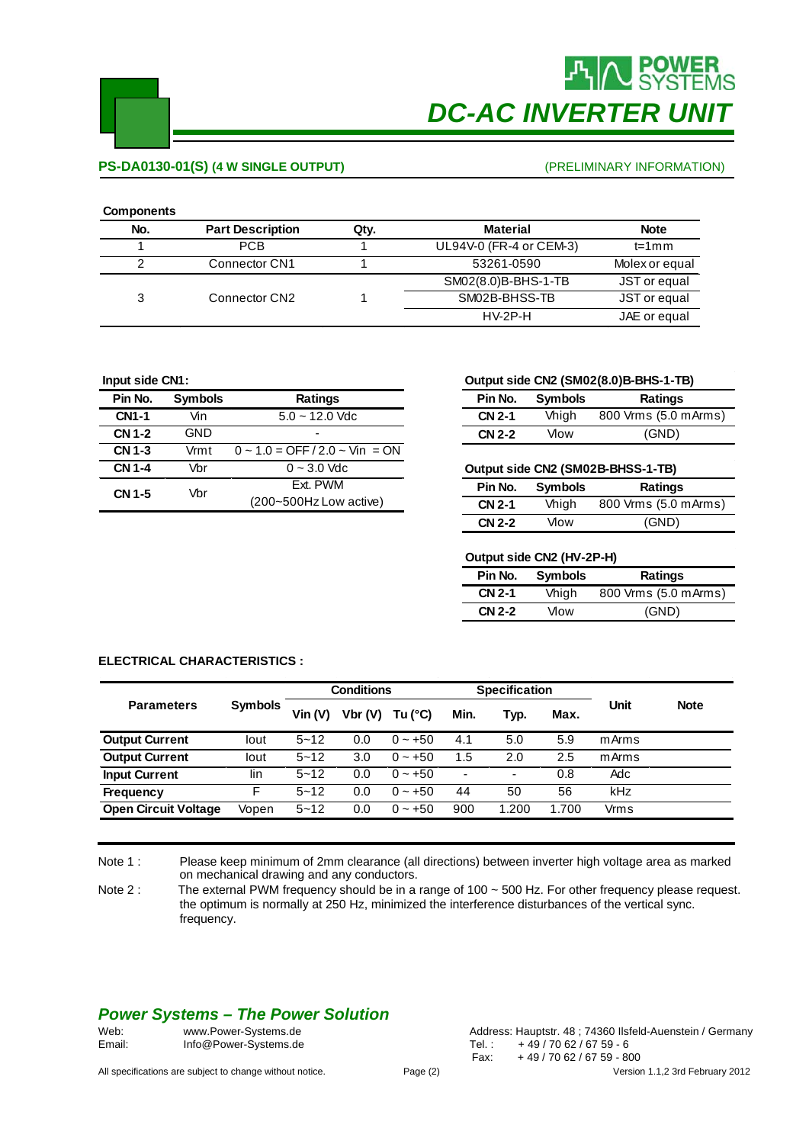

# **POWER**<br>SYSTEMS *DC-AC INVERTER UNIT*

## **PS-DA0130-01(S) (4 W SINGLE OUTPUT)**

#### (PRELIMINARY INFORMATION)

#### **Components**

| ------------- |                         |      |                         |                |
|---------------|-------------------------|------|-------------------------|----------------|
| No.           | <b>Part Description</b> | Qty. | <b>Material</b>         | <b>Note</b>    |
|               | <b>PCB</b>              |      | UL94V-0 (FR-4 or CEM-3) | $t=1$ m m      |
| 2             | Connector CN1           |      | 53261-0590              | Molex or equal |
|               |                         |      | SM02(8.0)B-BHS-1-TB     | JST or equal   |
| 3             | Connector CN2           |      | SM02B-BHSS-TB           | JST or equal   |
|               |                         |      | $HV-2P-H$               | JAE or equal   |
|               |                         |      |                         |                |

#### **Input side CN1:**

| Pin No.       | <b>Symbols</b> | Ratings                                 |  |
|---------------|----------------|-----------------------------------------|--|
| <b>CN1-1</b>  | Vin            | $5.0 - 12.0$ Vdc                        |  |
| <b>CN 1-2</b> | <b>GND</b>     |                                         |  |
| <b>CN 1-3</b> | Vrmt           | $0 \sim 1.0 =$ OFF $/2.0 \sim$ Vin = ON |  |
| <b>CN 1-4</b> | Vbr            | $0 - 3.0$ Vdc                           |  |
| CN 1-5        | Vbr            | Fxt. PWM                                |  |
|               |                | (200~500Hz Low active)                  |  |

#### **Output side CN2 (SM02(8.0)B-BHS-1-TB)**

| Pin No.       | <b>Symbols</b> | <b>Ratings</b>       |  |  |  |
|---------------|----------------|----------------------|--|--|--|
| <b>CN 2-1</b> | Vhigh          | 800 Vrms (5.0 mArms) |  |  |  |
| <b>CN 2-2</b> | Vlow           | (GND)                |  |  |  |

#### **Output side CN2 (SM02B-BHSS-1-TB)**

| Pin No.       | <b>Symbols</b> | <b>Ratings</b>       |  |  |  |  |
|---------------|----------------|----------------------|--|--|--|--|
| <b>CN 2-1</b> | Vhigh          | 800 Vrms (5.0 mArms) |  |  |  |  |
| <b>CN 2-2</b> | Mow            | (GND)                |  |  |  |  |

#### **Output side CN2 (HV-2P-H)**

| Pin No.       | <b>Symbols</b> | Ratings              |  |  |  |  |
|---------------|----------------|----------------------|--|--|--|--|
| <b>CN 2-1</b> | Vhigh          | 800 Vrms (5.0 mArms) |  |  |  |  |
| <b>CN 2-2</b> | Vlow           | (GND)                |  |  |  |  |

#### **ELECTRICAL CHARACTERISTICS :**

|                             |                | <b>Conditions</b> |        | <b>Specification</b> |                          |       |      |       |             |
|-----------------------------|----------------|-------------------|--------|----------------------|--------------------------|-------|------|-------|-------------|
| <b>Parameters</b>           | <b>Symbols</b> | $V$ in $(V)$      | Vbr(V) | Tu $(^{\circ}C)$     | Min.                     | Typ.  | Max. | Unit  | <b>Note</b> |
| <b>Output Current</b>       | lout           | $5 - 12$          | 0.0    | $0 - +50$            | 4.1                      | 5.0   | 5.9  | mArms |             |
| <b>Output Current</b>       | lout           | $5 - 12$          | 3.0    | $0 \sim +50$         | 1.5                      | 2.0   | 2.5  | mArms |             |
| <b>Input Current</b>        | lin            | $5 - 12$          | 0.0    | $0 - +50$            | $\overline{\phantom{0}}$ | ۰     | 0.8  | Adc   |             |
| <b>Frequency</b>            | F              | $5 - 12$          | 0.0    | $0 \sim +50$         | 44                       | 50    | 56   | kHz   |             |
| <b>Open Circuit Voltage</b> | Vopen          | $5 - 12$          | 0.0    | $0 - +50$            | 900                      | 1.200 | .700 | Vrms  |             |

Note 1 : Please keep minimum of 2mm clearance (all directions) between inverter high voltage area as marked on mechanical drawing and any conductors.

Note 2 : The external PWM frequency should be in a range of 100 ~ 500 Hz. For other frequency please request. the optimum is normally at 250 Hz, minimized the interference disturbances of the vertical sync. frequency.

# *Power Systems – The Power Solution*

| Web:   | www.Power-Systems.de  | Address: Hauptstr. 48; 74360 llst |
|--------|-----------------------|-----------------------------------|
| Email: | Info@Power-Systems.de | +49/7062/6759-6                   |